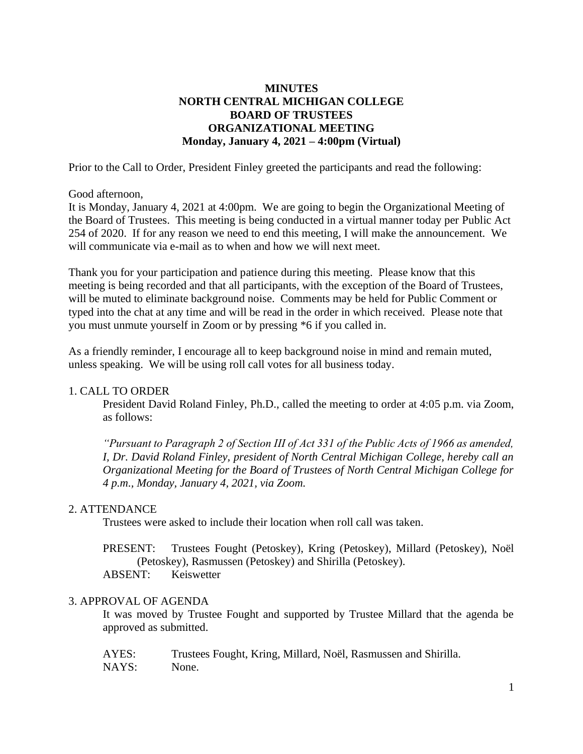# **MINUTES NORTH CENTRAL MICHIGAN COLLEGE BOARD OF TRUSTEES ORGANIZATIONAL MEETING Monday, January 4, 2021 – 4:00pm (Virtual)**

Prior to the Call to Order, President Finley greeted the participants and read the following:

Good afternoon,

It is Monday, January 4, 2021 at 4:00pm. We are going to begin the Organizational Meeting of the Board of Trustees. This meeting is being conducted in a virtual manner today per Public Act 254 of 2020. If for any reason we need to end this meeting, I will make the announcement. We will communicate via e-mail as to when and how we will next meet.

Thank you for your participation and patience during this meeting. Please know that this meeting is being recorded and that all participants, with the exception of the Board of Trustees, will be muted to eliminate background noise. Comments may be held for Public Comment or typed into the chat at any time and will be read in the order in which received. Please note that you must unmute yourself in Zoom or by pressing \*6 if you called in.

As a friendly reminder, I encourage all to keep background noise in mind and remain muted, unless speaking. We will be using roll call votes for all business today.

## 1. CALL TO ORDER

President David Roland Finley, Ph.D., called the meeting to order at 4:05 p.m. via Zoom, as follows:

*"Pursuant to Paragraph 2 of Section III of Act 331 of the Public Acts of 1966 as amended, I, Dr. David Roland Finley, president of North Central Michigan College, hereby call an Organizational Meeting for the Board of Trustees of North Central Michigan College for 4 p.m., Monday, January 4, 2021, via Zoom.*

## 2. ATTENDANCE

Trustees were asked to include their location when roll call was taken.

PRESENT: Trustees Fought (Petoskey), Kring (Petoskey), Millard (Petoskey), Noël (Petoskey), Rasmussen (Petoskey) and Shirilla (Petoskey). ABSENT: Keiswetter

#### 3. APPROVAL OF AGENDA

It was moved by Trustee Fought and supported by Trustee Millard that the agenda be approved as submitted.

| AYES: | Trustees Fought, Kring, Millard, Noël, Rasmussen and Shirilla. |
|-------|----------------------------------------------------------------|
| NAYS: | None.                                                          |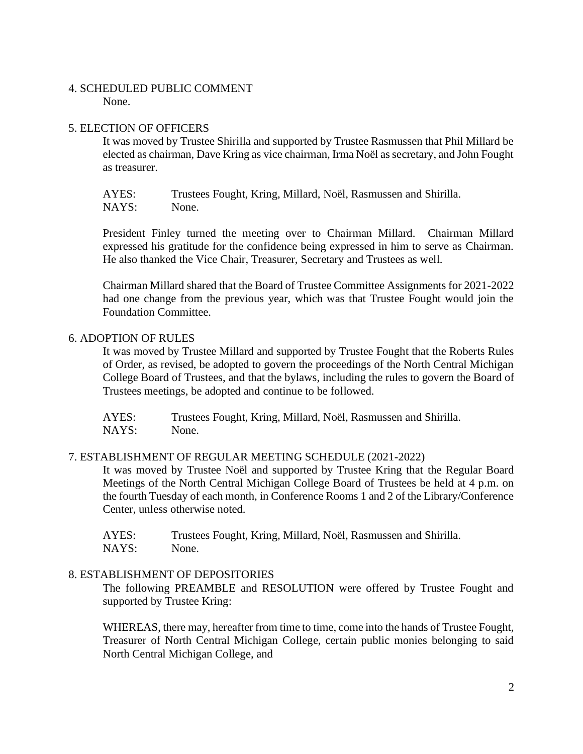## 4. SCHEDULED PUBLIC COMMENT

None.

## 5. ELECTION OF OFFICERS

It was moved by Trustee Shirilla and supported by Trustee Rasmussen that Phil Millard be elected as chairman, Dave Kring as vice chairman, Irma Noël as secretary, and John Fought as treasurer.

AYES: Trustees Fought, Kring, Millard, Noël, Rasmussen and Shirilla. NAYS: None.

President Finley turned the meeting over to Chairman Millard. Chairman Millard expressed his gratitude for the confidence being expressed in him to serve as Chairman. He also thanked the Vice Chair, Treasurer, Secretary and Trustees as well.

Chairman Millard shared that the Board of Trustee Committee Assignments for 2021-2022 had one change from the previous year, which was that Trustee Fought would join the Foundation Committee.

## 6. ADOPTION OF RULES

It was moved by Trustee Millard and supported by Trustee Fought that the Roberts Rules of Order, as revised, be adopted to govern the proceedings of the North Central Michigan College Board of Trustees, and that the bylaws, including the rules to govern the Board of Trustees meetings, be adopted and continue to be followed.

AYES: Trustees Fought, Kring, Millard, Noël, Rasmussen and Shirilla. NAYS: None.

## 7. ESTABLISHMENT OF REGULAR MEETING SCHEDULE (2021-2022)

It was moved by Trustee Noël and supported by Trustee Kring that the Regular Board Meetings of the North Central Michigan College Board of Trustees be held at 4 p.m. on the fourth Tuesday of each month, in Conference Rooms 1 and 2 of the Library/Conference Center, unless otherwise noted.

AYES: Trustees Fought, Kring, Millard, Noël, Rasmussen and Shirilla. NAYS: None.

# 8. ESTABLISHMENT OF DEPOSITORIES

The following PREAMBLE and RESOLUTION were offered by Trustee Fought and supported by Trustee Kring:

WHEREAS, there may, hereafter from time to time, come into the hands of Trustee Fought, Treasurer of North Central Michigan College, certain public monies belonging to said North Central Michigan College, and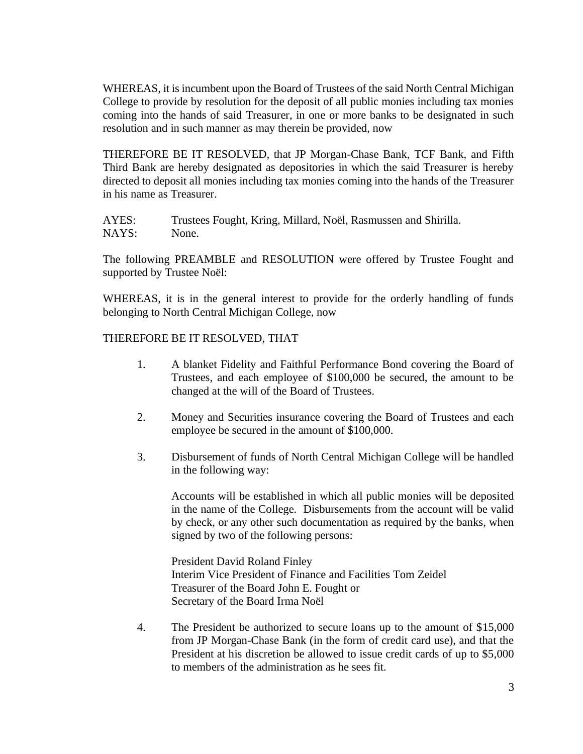WHEREAS, it is incumbent upon the Board of Trustees of the said North Central Michigan College to provide by resolution for the deposit of all public monies including tax monies coming into the hands of said Treasurer, in one or more banks to be designated in such resolution and in such manner as may therein be provided, now

THEREFORE BE IT RESOLVED, that JP Morgan-Chase Bank, TCF Bank, and Fifth Third Bank are hereby designated as depositories in which the said Treasurer is hereby directed to deposit all monies including tax monies coming into the hands of the Treasurer in his name as Treasurer.

AYES: Trustees Fought, Kring, Millard, Noël, Rasmussen and Shirilla. NAYS: None.

The following PREAMBLE and RESOLUTION were offered by Trustee Fought and supported by Trustee Noël:

WHEREAS, it is in the general interest to provide for the orderly handling of funds belonging to North Central Michigan College, now

## THEREFORE BE IT RESOLVED, THAT

- 1. A blanket Fidelity and Faithful Performance Bond covering the Board of Trustees, and each employee of \$100,000 be secured, the amount to be changed at the will of the Board of Trustees.
- 2. Money and Securities insurance covering the Board of Trustees and each employee be secured in the amount of \$100,000.
- 3. Disbursement of funds of North Central Michigan College will be handled in the following way:

Accounts will be established in which all public monies will be deposited in the name of the College. Disbursements from the account will be valid by check, or any other such documentation as required by the banks, when signed by two of the following persons:

President David Roland Finley Interim Vice President of Finance and Facilities Tom Zeidel Treasurer of the Board John E. Fought or Secretary of the Board Irma Noël

4. The President be authorized to secure loans up to the amount of \$15,000 from JP Morgan-Chase Bank (in the form of credit card use), and that the President at his discretion be allowed to issue credit cards of up to \$5,000 to members of the administration as he sees fit.